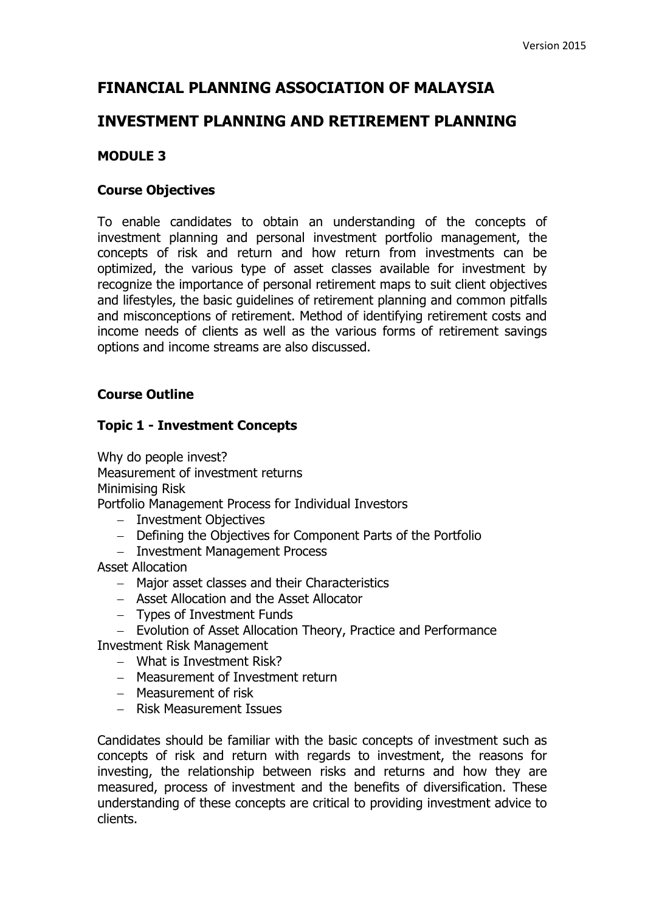# **FINANCIAL PLANNING ASSOCIATION OF MALAYSIA**

## **INVESTMENT PLANNING AND RETIREMENT PLANNING**

#### **MODULE 3**

#### **Course Objectives**

To enable candidates to obtain an understanding of the concepts of investment planning and personal investment portfolio management, the concepts of risk and return and how return from investments can be optimized, the various type of asset classes available for investment by recognize the importance of personal retirement maps to suit client objectives and lifestyles, the basic guidelines of retirement planning and common pitfalls and misconceptions of retirement. Method of identifying retirement costs and income needs of clients as well as the various forms of retirement savings options and income streams are also discussed.

#### **Course Outline**

#### **Topic 1 - Investment Concepts**

Why do people invest? Measurement of investment returns Minimising Risk

Portfolio Management Process for Individual Investors

- Investment Objectives
- Defining the Objectives for Component Parts of the Portfolio
- Investment Management Process

Asset Allocation

- Major asset classes and their Characteristics
- Asset Allocation and the Asset Allocator
- Types of Investment Funds
- Evolution of Asset Allocation Theory, Practice and Performance

Investment Risk Management

- What is Investment Risk?
- Measurement of Investment return
- Measurement of risk
- Risk Measurement Issues

Candidates should be familiar with the basic concepts of investment such as concepts of risk and return with regards to investment, the reasons for investing, the relationship between risks and returns and how they are measured, process of investment and the benefits of diversification. These understanding of these concepts are critical to providing investment advice to clients.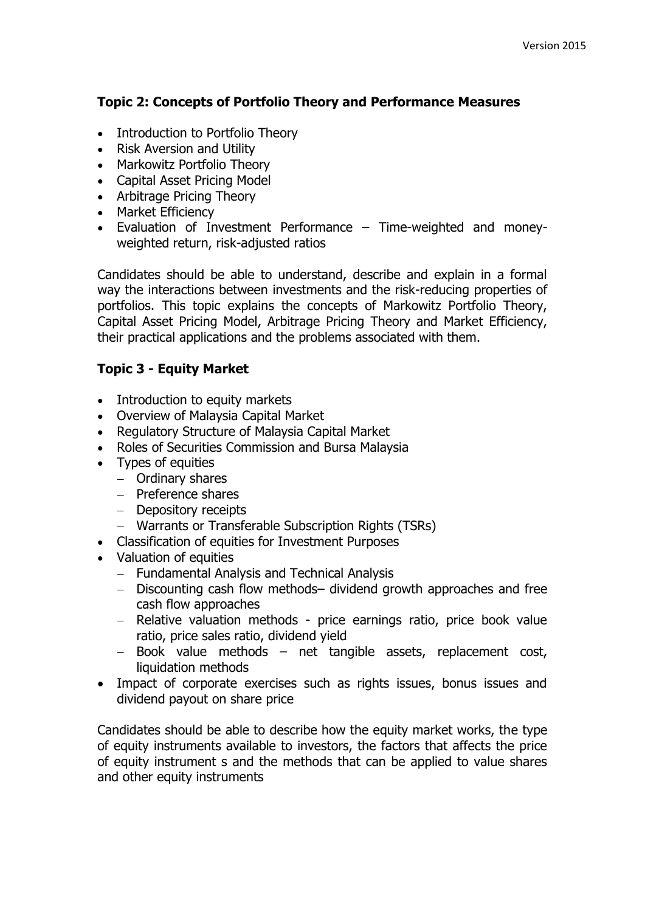#### **Topic 2: Concepts of Portfolio Theory and Performance Measures**

- Introduction to Portfolio Theory
- Risk Aversion and Utility
- Markowitz Portfolio Theory
- Capital Asset Pricing Model
- Arbitrage Pricing Theory
- Market Efficiency
- Evaluation of Investment Performance Time-weighted and moneyweighted return, risk-adjusted ratios

Candidates should be able to understand, describe and explain in a formal way the interactions between investments and the risk-reducing properties of portfolios. This topic explains the concepts of Markowitz Portfolio Theory, Capital Asset Pricing Model, Arbitrage Pricing Theory and Market Efficiency, their practical applications and the problems associated with them.

## **Topic 3 - Equity Market**

- Introduction to equity markets
- Overview of Malaysia Capital Market
- Regulatory Structure of Malaysia Capital Market
- Roles of Securities Commission and Bursa Malaysia
- Types of equities
	- Ordinary shares
	- $-$  Preference shares
	- Depository receipts
	- Warrants or Transferable Subscription Rights (TSRs)
- Classification of equities for Investment Purposes
- Valuation of equities
	- Fundamental Analysis and Technical Analysis
	- Discounting cash flow methods– dividend growth approaches and free cash flow approaches
	- Relative valuation methods price earnings ratio, price book value ratio, price sales ratio, dividend yield
	- Book value methods net tangible assets, replacement cost, liquidation methods
- Impact of corporate exercises such as rights issues, bonus issues and dividend payout on share price

Candidates should be able to describe how the equity market works, the type of equity instruments available to investors, the factors that affects the price of equity instrument s and the methods that can be applied to value shares and other equity instruments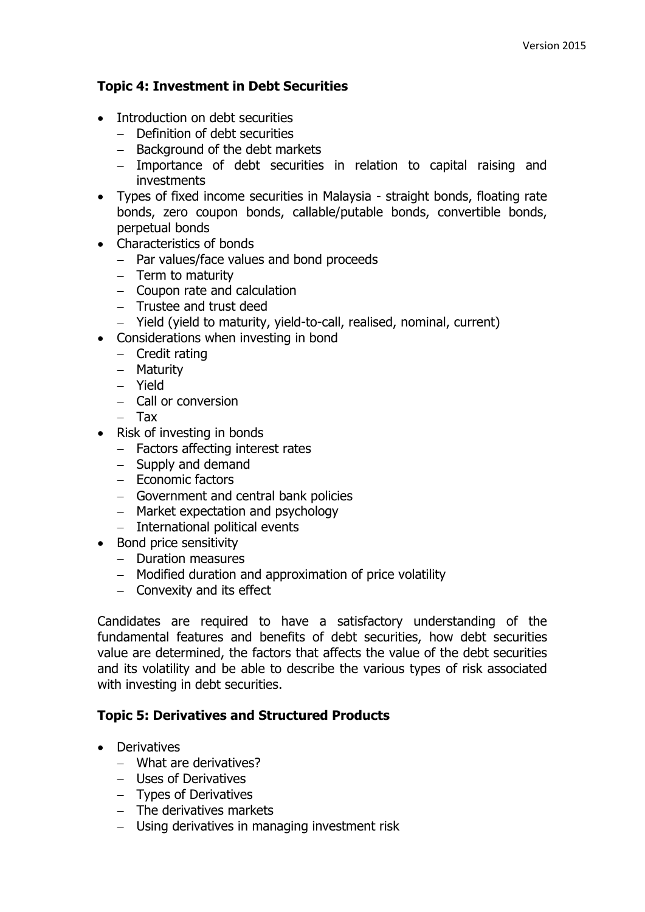#### **Topic 4: Investment in Debt Securities**

- Introduction on debt securities
	- Definition of debt securities
	- $-$  Background of the debt markets
	- Importance of debt securities in relation to capital raising and investments
- Types of fixed income securities in Malaysia straight bonds, floating rate bonds, zero coupon bonds, callable/putable bonds, convertible bonds, perpetual bonds
- Characteristics of bonds
	- $-$  Par values/face values and bond proceeds
	- $-$  Term to maturity
	- Coupon rate and calculation
	- Trustee and trust deed
	- Yield (yield to maturity, yield-to-call, realised, nominal, current)
- Considerations when investing in bond
	- $-$  Credit rating
	- Maturity
	- Yield
	- Call or conversion
	- Tax
- Risk of investing in bonds
	- Factors affecting interest rates
	- $-$  Supply and demand
	- Economic factors
	- Government and central bank policies
	- $-$  Market expectation and psychology
	- International political events
- Bond price sensitivity
	- Duration measures
	- Modified duration and approximation of price volatility
	- $-$  Convexity and its effect

Candidates are required to have a satisfactory understanding of the fundamental features and benefits of debt securities, how debt securities value are determined, the factors that affects the value of the debt securities and its volatility and be able to describe the various types of risk associated with investing in debt securities.

#### **Topic 5: Derivatives and Structured Products**

- Derivatives
	- What are derivatives?
	- Uses of Derivatives
	- Types of Derivatives
	- $-$  The derivatives markets
	- Using derivatives in managing investment risk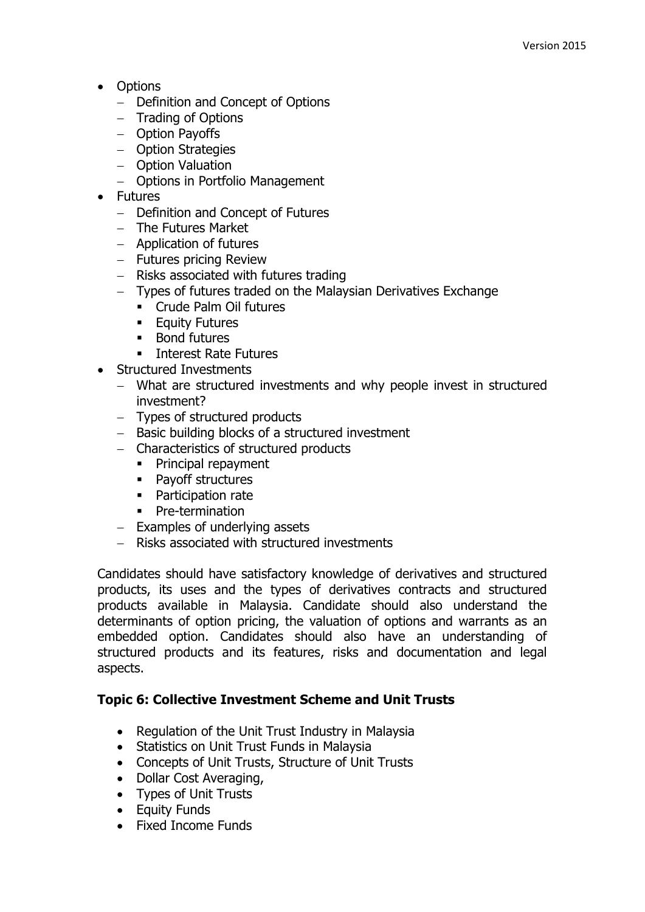- Options
	- Definition and Concept of Options
	- Trading of Options
	- Option Payoffs
	- Option Strategies
	- Option Valuation
	- Options in Portfolio Management
- Futures
	- Definition and Concept of Futures
	- $-$  The Futures Market
	- Application of futures
	- Futures pricing Review
	- $-$  Risks associated with futures trading
	- Types of futures traded on the Malaysian Derivatives Exchange
		- Crude Palm Oil futures
		- **Equity Futures**
		- **Bond futures**
		- **Interest Rate Futures**
- Structured Investments
	- What are structured investments and why people invest in structured investment?
	- Types of structured products
	- Basic building blocks of a structured investment
	- Characteristics of structured products
		- **Principal repayment**
		- Pavoff structures
		- **Participation rate**
		- Pre-termination
	- $-$  Examples of underlying assets
	- Risks associated with structured investments

Candidates should have satisfactory knowledge of derivatives and structured products, its uses and the types of derivatives contracts and structured products available in Malaysia. Candidate should also understand the determinants of option pricing, the valuation of options and warrants as an embedded option. Candidates should also have an understanding of structured products and its features, risks and documentation and legal aspects.

## **Topic 6: Collective Investment Scheme and Unit Trusts**

- Regulation of the Unit Trust Industry in Malaysia
- Statistics on Unit Trust Funds in Malaysia
- Concepts of Unit Trusts, Structure of Unit Trusts
- Dollar Cost Averaging,
- Types of Unit Trusts
- Equity Funds
- Fixed Income Funds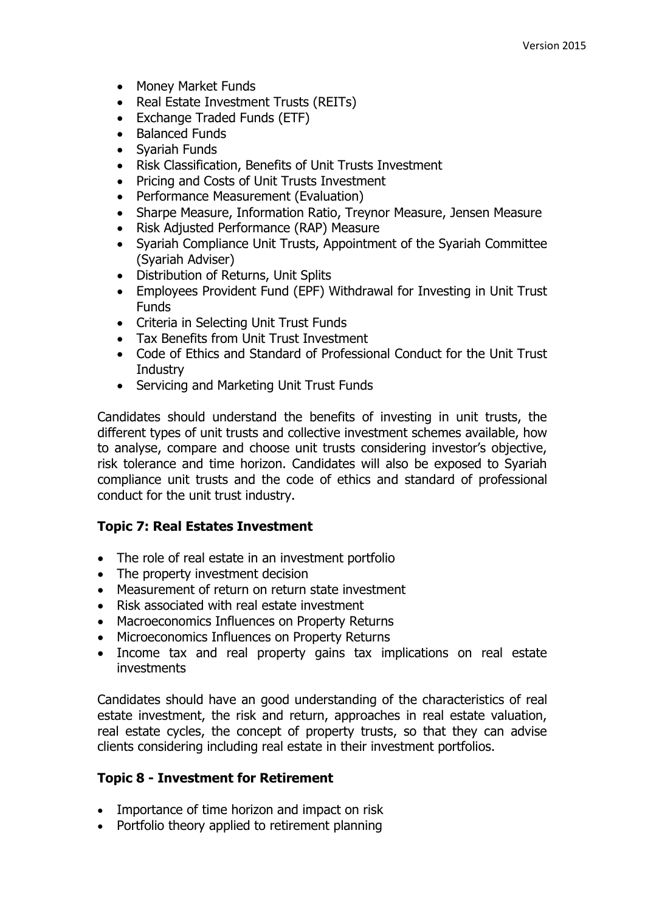- Money Market Funds
- Real Estate Investment Trusts (REITs)
- Exchange Traded Funds (ETF)
- Balanced Funds
- Syariah Funds
- Risk Classification, Benefits of Unit Trusts Investment
- Pricing and Costs of Unit Trusts Investment
- Performance Measurement (Evaluation)
- Sharpe Measure, Information Ratio, Trevnor Measure, Jensen Measure
- Risk Adjusted Performance (RAP) Measure
- Syariah Compliance Unit Trusts, Appointment of the Syariah Committee (Syariah Adviser)
- Distribution of Returns, Unit Splits
- Employees Provident Fund (EPF) Withdrawal for Investing in Unit Trust **Funds**
- Criteria in Selecting Unit Trust Funds
- Tax Benefits from Unit Trust Investment
- Code of Ethics and Standard of Professional Conduct for the Unit Trust Industry
- Servicing and Marketing Unit Trust Funds

Candidates should understand the benefits of investing in unit trusts, the different types of unit trusts and collective investment schemes available, how to analyse, compare and choose unit trusts considering investor's objective, risk tolerance and time horizon. Candidates will also be exposed to Syariah compliance unit trusts and the code of ethics and standard of professional conduct for the unit trust industry.

#### **Topic 7: Real Estates Investment**

- The role of real estate in an investment portfolio
- The property investment decision
- Measurement of return on return state investment
- Risk associated with real estate investment
- Macroeconomics Influences on Property Returns
- Microeconomics Influences on Property Returns
- Income tax and real property gains tax implications on real estate investments

Candidates should have an good understanding of the characteristics of real estate investment, the risk and return, approaches in real estate valuation, real estate cycles, the concept of property trusts, so that they can advise clients considering including real estate in their investment portfolios.

#### **Topic 8 - Investment for Retirement**

- Importance of time horizon and impact on risk
- Portfolio theory applied to retirement planning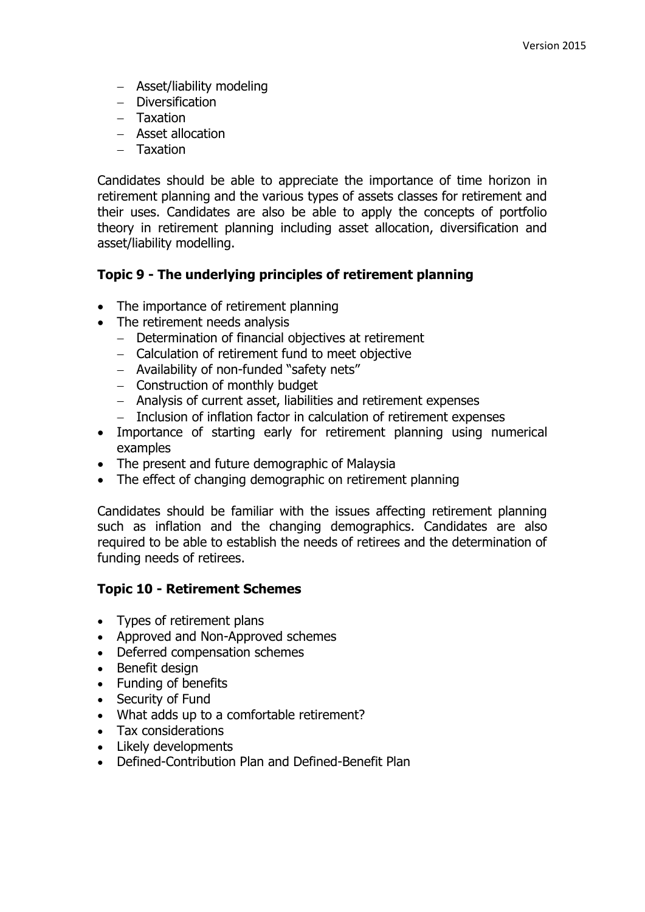- Asset/liability modeling
- Diversification
- $-$  Taxation
- Asset allocation
- Taxation

Candidates should be able to appreciate the importance of time horizon in retirement planning and the various types of assets classes for retirement and their uses. Candidates are also be able to apply the concepts of portfolio theory in retirement planning including asset allocation, diversification and asset/liability modelling.

#### **Topic 9 - The underlying principles of retirement planning**

- The importance of retirement planning
- The retirement needs analysis
	- Determination of financial objectives at retirement
	- Calculation of retirement fund to meet objective
	- Availability of non-funded "safety nets"
	- Construction of monthly budget
	- Analysis of current asset, liabilities and retirement expenses
	- Inclusion of inflation factor in calculation of retirement expenses
- Importance of starting early for retirement planning using numerical examples
- The present and future demographic of Malaysia
- The effect of changing demographic on retirement planning

Candidates should be familiar with the issues affecting retirement planning such as inflation and the changing demographics. Candidates are also required to be able to establish the needs of retirees and the determination of funding needs of retirees.

#### **Topic 10 - Retirement Schemes**

- Types of retirement plans
- Approved and Non-Approved schemes
- Deferred compensation schemes
- Benefit design
- Funding of benefits
- Security of Fund
- What adds up to a comfortable retirement?
- Tax considerations
- Likely developments
- Defined-Contribution Plan and Defined-Benefit Plan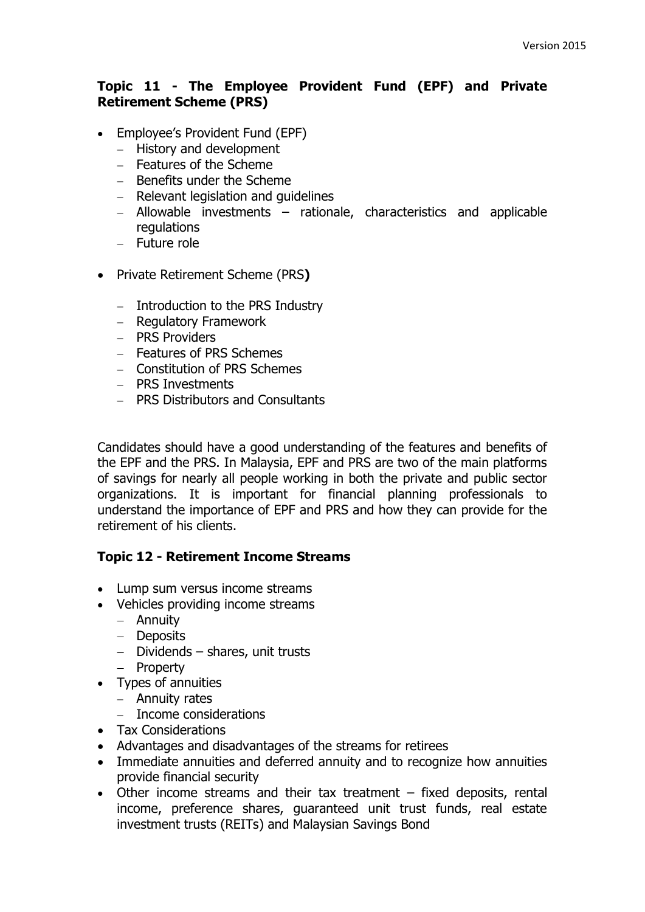#### **Topic 11 - The Employee Provident Fund (EPF) and Private Retirement Scheme (PRS)**

- Employee's Provident Fund (EPF)
	- History and development
	- $-$  Features of the Scheme
	- Benefits under the Scheme
	- $-$  Relevant legislation and quidelines
	- Allowable investments rationale, characteristics and applicable regulations
	- Future role
- Private Retirement Scheme (PRS**)**
	- $-$  Introduction to the PRS Industry
	- Regulatory Framework
	- PRS Providers
	- Features of PRS Schemes
	- Constitution of PRS Schemes
	- PRS Investments
	- PRS Distributors and Consultants

Candidates should have a good understanding of the features and benefits of the EPF and the PRS. In Malaysia, EPF and PRS are two of the main platforms of savings for nearly all people working in both the private and public sector organizations. It is important for financial planning professionals to understand the importance of EPF and PRS and how they can provide for the retirement of his clients.

#### **Topic 12 - Retirement Income Streams**

- Lump sum versus income streams
- Vehicles providing income streams
	- Annuity
	- Deposits
	- $-$  Dividends shares, unit trusts
	- Property
- Types of annuities
	- Annuity rates
	- Income considerations
- Tax Considerations
- Advantages and disadvantages of the streams for retirees
- Immediate annuities and deferred annuity and to recognize how annuities provide financial security
- Other income streams and their tax treatment fixed deposits, rental income, preference shares, guaranteed unit trust funds, real estate investment trusts (REITs) and Malaysian Savings Bond